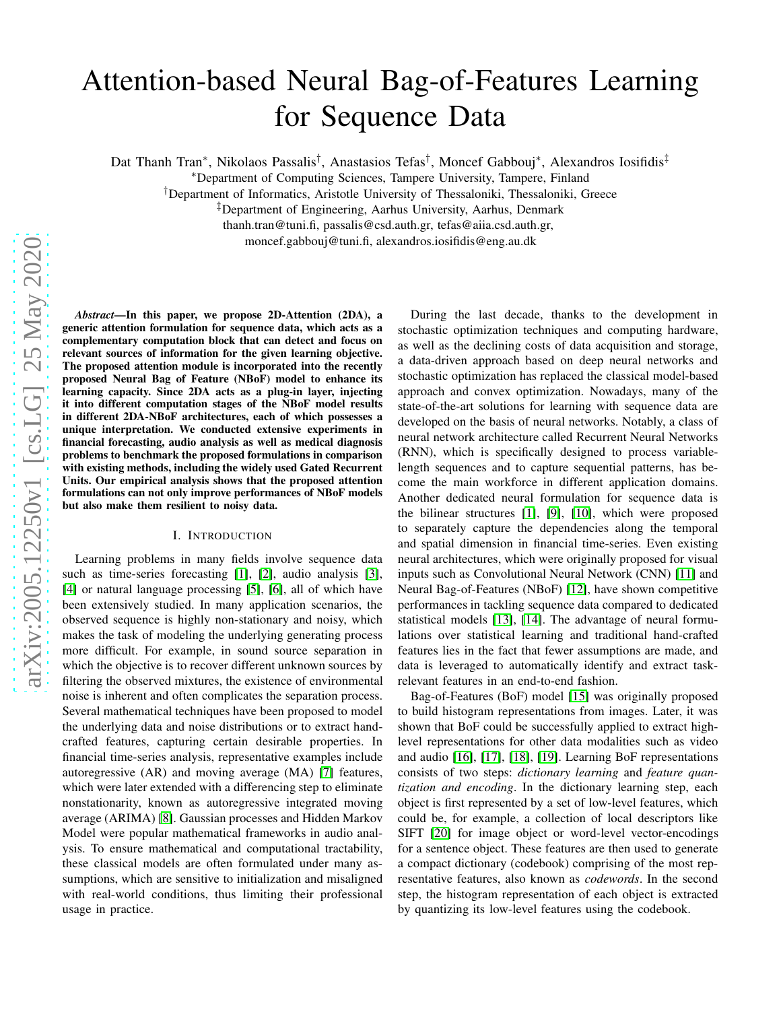# Attention-based Neural Bag-of-Features Learning for Sequence Data

Dat Thanh Tran\*, Nikolaos Passalis<sup>†</sup>, Anastasios Tefas<sup>†</sup>, Moncef Gabbouj\*, Alexandros Iosifidis<sup>‡</sup>

<sup>∗</sup>Department of Computing Sciences, Tampere University, Tampere, Finland

†Department of Informatics, Aristotle University of Thessaloniki, Thessaloniki, Greece

‡Department of Engineering, Aarhus University, Aarhus, Denmark

thanh.tran@tuni.fi, passalis@csd.auth.gr, tefas@aiia.csd.auth.gr,

moncef.gabbouj@tuni.fi, alexandros.iosifidis@eng.au.dk

*Abstract*—In this paper, we propose 2D-Attention (2DA), a generic attention formulation for sequence data, which acts as a complementary computation block that can detect and focus on relevant sources of information for the given learning objective. The proposed attention module is incorporated into the recently proposed Neural Bag of Feature (NBoF) model to enhance its learning capacity. Since 2DA acts as a plug-in layer, injecting it into different computation stages of the NBoF model results in different 2DA-NBoF architectures, each of which possesses a unique interpretation. We conducted extensive experiments in financial forecasting, audio analysis as well as medical diagnosis problems to benchmark the proposed formulations in comparison with existing methods, including the widely used Gated Recurrent Units. Our empirical analysis shows that the proposed attention formulations can not only improve performances of NBoF models but also make them resilient to noisy data.

## I. INTRODUCTION

<span id="page-0-0"></span>Learning problems in many fields involve sequence data such as time-series forecasting [\[1\]](#page-8-0), [\[2\]](#page-8-1), audio analysis [\[3\]](#page-8-2), [\[4\]](#page-8-3) or natural language processing [\[5\]](#page-8-4), [\[6\]](#page-8-5), all of which have been extensively studied. In many application scenarios, the observed sequence is highly non-stationary and noisy, which makes the task of modeling the underlying generating process more difficult. For example, in sound source separation in which the objective is to recover different unknown sources by filtering the observed mixtures, the existence of environmental noise is inherent and often complicates the separation process. Several mathematical techniques have been proposed to model the underlying data and noise distributions or to extract handcrafted features, capturing certain desirable properties. In financial time-series analysis, representative examples include autoregressive (AR) and moving average (MA) [\[7\]](#page-8-6) features, which were later extended with a differencing step to eliminate nonstationarity, known as autoregressive integrated moving average (ARIMA) [\[8\]](#page-8-7). Gaussian processes and Hidden Markov Model were popular mathematical frameworks in audio analysis. To ensure mathematical and computational tractability, these classical models are often formulated under many assumptions, which are sensitive to initialization and misaligned with real-world conditions, thus limiting their professional usage in practice.

During the last decade, thanks to the development in stochastic optimization techniques and computing hardware, as well as the declining costs of data acquisition and storage, a data-driven approach based on deep neural networks and stochastic optimization has replaced the classical model-based approach and convex optimization. Nowadays, many of the state-of-the-art solutions for learning with sequence data are developed on the basis of neural networks. Notably, a class of neural network architecture called Recurrent Neural Networks (RNN), which is specifically designed to process variablelength sequences and to capture sequential patterns, has become the main workforce in different application domains. Another dedicated neural formulation for sequence data is the bilinear structures [\[1\]](#page-8-0), [\[9\]](#page-8-8), [\[10\]](#page-8-9), which were proposed to separately capture the dependencies along the temporal and spatial dimension in financial time-series. Even existing neural architectures, which were originally proposed for visual inputs such as Convolutional Neural Network (CNN) [\[11\]](#page-8-10) and Neural Bag-of-Features (NBoF) [\[12\]](#page-8-11), have shown competitive performances in tackling sequence data compared to dedicated statistical models [\[13\]](#page-8-12), [\[14\]](#page-8-13). The advantage of neural formulations over statistical learning and traditional hand-crafted features lies in the fact that fewer assumptions are made, and data is leveraged to automatically identify and extract taskrelevant features in an end-to-end fashion.

Bag-of-Features (BoF) model [\[15\]](#page-8-14) was originally proposed to build histogram representations from images. Later, it was shown that BoF could be successfully applied to extract highlevel representations for other data modalities such as video and audio [\[16\]](#page-9-0), [\[17\]](#page-9-1), [\[18\]](#page-9-2), [\[19\]](#page-9-3). Learning BoF representations consists of two steps: *dictionary learning* and *feature quantization and encoding*. In the dictionary learning step, each object is first represented by a set of low-level features, which could be, for example, a collection of local descriptors like SIFT [\[20\]](#page-9-4) for image object or word-level vector-encodings for a sentence object. These features are then used to generate a compact dictionary (codebook) comprising of the most representative features, also known as *codewords*. In the second step, the histogram representation of each object is extracted by quantizing its low-level features using the codebook.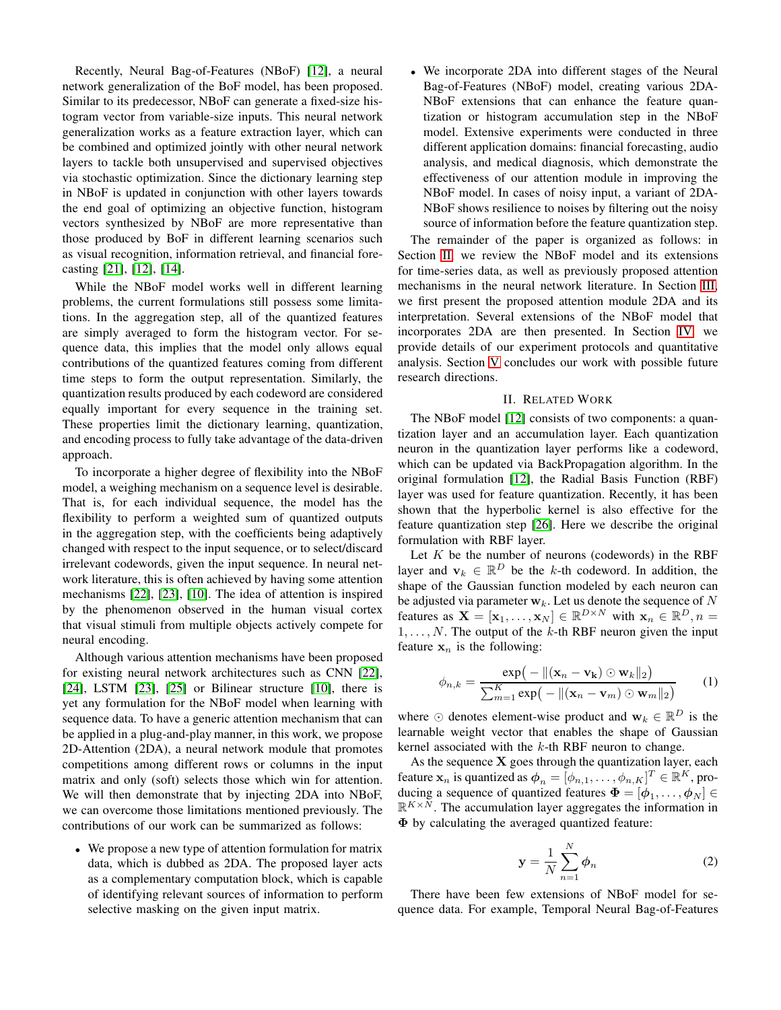Recently, Neural Bag-of-Features (NBoF) [\[12\]](#page-8-11), a neural network generalization of the BoF model, has been proposed. Similar to its predecessor, NBoF can generate a fixed-size histogram vector from variable-size inputs. This neural network generalization works as a feature extraction layer, which can be combined and optimized jointly with other neural network layers to tackle both unsupervised and supervised objectives via stochastic optimization. Since the dictionary learning step in NBoF is updated in conjunction with other layers towards the end goal of optimizing an objective function, histogram vectors synthesized by NBoF are more representative than those produced by BoF in different learning scenarios such as visual recognition, information retrieval, and financial forecasting [\[21\]](#page-9-5), [\[12\]](#page-8-11), [\[14\]](#page-8-13).

While the NBoF model works well in different learning problems, the current formulations still possess some limitations. In the aggregation step, all of the quantized features are simply averaged to form the histogram vector. For sequence data, this implies that the model only allows equal contributions of the quantized features coming from different time steps to form the output representation. Similarly, the quantization results produced by each codeword are considered equally important for every sequence in the training set. These properties limit the dictionary learning, quantization, and encoding process to fully take advantage of the data-driven approach.

To incorporate a higher degree of flexibility into the NBoF model, a weighing mechanism on a sequence level is desirable. That is, for each individual sequence, the model has the flexibility to perform a weighted sum of quantized outputs in the aggregation step, with the coefficients being adaptively changed with respect to the input sequence, or to select/discard irrelevant codewords, given the input sequence. In neural network literature, this is often achieved by having some attention mechanisms [\[22\]](#page-9-6), [\[23\]](#page-9-7), [\[10\]](#page-8-9). The idea of attention is inspired by the phenomenon observed in the human visual cortex that visual stimuli from multiple objects actively compete for neural encoding.

Although various attention mechanisms have been proposed for existing neural network architectures such as CNN [\[22\]](#page-9-6), [\[24\]](#page-9-8), LSTM [\[23\]](#page-9-7), [\[25\]](#page-9-9) or Bilinear structure [\[10\]](#page-8-9), there is yet any formulation for the NBoF model when learning with sequence data. To have a generic attention mechanism that can be applied in a plug-and-play manner, in this work, we propose 2D-Attention (2DA), a neural network module that promotes competitions among different rows or columns in the input matrix and only (soft) selects those which win for attention. We will then demonstrate that by injecting 2DA into NBoF, we can overcome those limitations mentioned previously. The contributions of our work can be summarized as follows:

• We propose a new type of attention formulation for matrix data, which is dubbed as 2DA. The proposed layer acts as a complementary computation block, which is capable of identifying relevant sources of information to perform selective masking on the given input matrix.

• We incorporate 2DA into different stages of the Neural Bag-of-Features (NBoF) model, creating various 2DA-NBoF extensions that can enhance the feature quantization or histogram accumulation step in the NBoF model. Extensive experiments were conducted in three different application domains: financial forecasting, audio analysis, and medical diagnosis, which demonstrate the effectiveness of our attention module in improving the NBoF model. In cases of noisy input, a variant of 2DA-NBoF shows resilience to noises by filtering out the noisy source of information before the feature quantization step.

The remainder of the paper is organized as follows: in Section [II,](#page-1-0) we review the NBoF model and its extensions for time-series data, as well as previously proposed attention mechanisms in the neural network literature. In Section [III,](#page-2-0) we first present the proposed attention module 2DA and its interpretation. Several extensions of the NBoF model that incorporates 2DA are then presented. In Section [IV,](#page-4-0) we provide details of our experiment protocols and quantitative analysis. Section [V](#page-8-15) concludes our work with possible future research directions.

# II. RELATED WORK

<span id="page-1-0"></span>The NBoF model [\[12\]](#page-8-11) consists of two components: a quantization layer and an accumulation layer. Each quantization neuron in the quantization layer performs like a codeword, which can be updated via BackPropagation algorithm. In the original formulation [\[12\]](#page-8-11), the Radial Basis Function (RBF) layer was used for feature quantization. Recently, it has been shown that the hyperbolic kernel is also effective for the feature quantization step [\[26\]](#page-9-10). Here we describe the original formulation with RBF layer.

Let  $K$  be the number of neurons (codewords) in the RBF layer and  $\mathbf{v}_k \in \mathbb{R}^D$  be the k-th codeword. In addition, the shape of the Gaussian function modeled by each neuron can be adjusted via parameter  $w_k$ . Let us denote the sequence of N features as  $\mathbf{X} = [\mathbf{x}_1, ..., \mathbf{x}_N] \in \mathbb{R}^{D \times N}$  with  $\mathbf{x}_n \in \mathbb{R}^D, n =$  $1, \ldots, N$ . The output of the k-th RBF neuron given the input feature  $x_n$  is the following:

$$
\phi_{n,k} = \frac{\exp(-\|(\mathbf{x}_n - \mathbf{v_k}) \odot \mathbf{w}_k\|_2)}{\sum_{m=1}^K \exp(-\|(\mathbf{x}_n - \mathbf{v}_m) \odot \mathbf{w}_m\|_2)}
$$
(1)

where  $\odot$  denotes element-wise product and  $\mathbf{w}_k \in \mathbb{R}^D$  is the learnable weight vector that enables the shape of Gaussian kernel associated with the  $k$ -th RBF neuron to change.

As the sequence  $X$  goes through the quantization layer, each feature  $\mathbf{x}_n$  is quantized as  $\boldsymbol{\phi}_n = [\phi_{n,1}, \dots, \phi_{n,K}]^T \in \mathbb{R}^K$ , producing a sequence of quantized features  $\boldsymbol{\Phi} = [\boldsymbol{\phi}_1, \dots, \boldsymbol{\phi}_N] \in$  $\mathbb{R}^{K \times \bar{N}}$ . The accumulation layer aggregates the information in Φ by calculating the averaged quantized feature:

$$
\mathbf{y} = \frac{1}{N} \sum_{n=1}^{N} \boldsymbol{\phi}_n \tag{2}
$$

There have been few extensions of NBoF model for sequence data. For example, Temporal Neural Bag-of-Features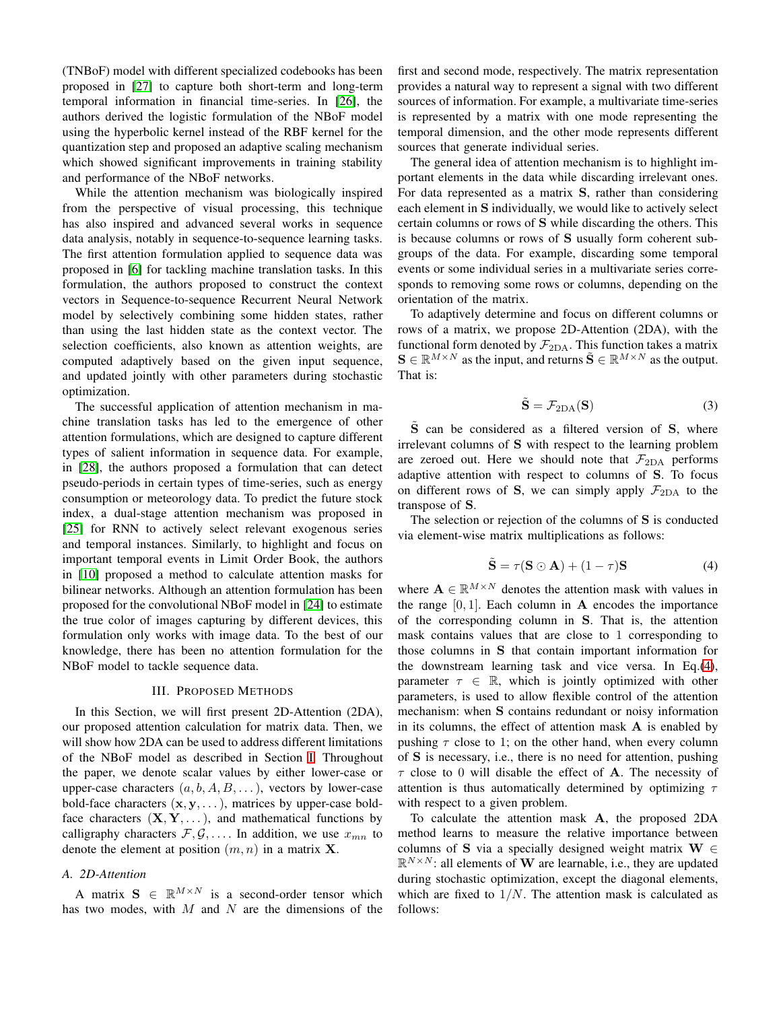(TNBoF) model with different specialized codebooks has been proposed in [\[27\]](#page-9-11) to capture both short-term and long-term temporal information in financial time-series. In [\[26\]](#page-9-10), the authors derived the logistic formulation of the NBoF model using the hyperbolic kernel instead of the RBF kernel for the quantization step and proposed an adaptive scaling mechanism which showed significant improvements in training stability and performance of the NBoF networks.

While the attention mechanism was biologically inspired from the perspective of visual processing, this technique has also inspired and advanced several works in sequence data analysis, notably in sequence-to-sequence learning tasks. The first attention formulation applied to sequence data was proposed in [\[6\]](#page-8-5) for tackling machine translation tasks. In this formulation, the authors proposed to construct the context vectors in Sequence-to-sequence Recurrent Neural Network model by selectively combining some hidden states, rather than using the last hidden state as the context vector. The selection coefficients, also known as attention weights, are computed adaptively based on the given input sequence, and updated jointly with other parameters during stochastic optimization.

The successful application of attention mechanism in machine translation tasks has led to the emergence of other attention formulations, which are designed to capture different types of salient information in sequence data. For example, in [\[28\]](#page-9-12), the authors proposed a formulation that can detect pseudo-periods in certain types of time-series, such as energy consumption or meteorology data. To predict the future stock index, a dual-stage attention mechanism was proposed in [\[25\]](#page-9-9) for RNN to actively select relevant exogenous series and temporal instances. Similarly, to highlight and focus on important temporal events in Limit Order Book, the authors in [\[10\]](#page-8-9) proposed a method to calculate attention masks for bilinear networks. Although an attention formulation has been proposed for the convolutional NBoF model in [\[24\]](#page-9-8) to estimate the true color of images capturing by different devices, this formulation only works with image data. To the best of our knowledge, there has been no attention formulation for the NBoF model to tackle sequence data.

## III. PROPOSED METHODS

<span id="page-2-0"></span>In this Section, we will first present 2D-Attention (2DA), our proposed attention calculation for matrix data. Then, we will show how 2DA can be used to address different limitations of the NBoF model as described in Section [I.](#page-0-0) Throughout the paper, we denote scalar values by either lower-case or upper-case characters  $(a, b, A, B, \ldots)$ , vectors by lower-case bold-face characters  $(x, y, \dots)$ , matrices by upper-case boldface characters  $(X, Y, \dots)$ , and mathematical functions by calligraphy characters  $\mathcal{F}, \mathcal{G}, \ldots$  In addition, we use  $x_{mn}$  to denote the element at position  $(m, n)$  in a matrix **X**.

# *A. 2D-Attention*

A matrix  $S \in \mathbb{R}^{M \times N}$  is a second-order tensor which has two modes, with  $M$  and  $N$  are the dimensions of the first and second mode, respectively. The matrix representation provides a natural way to represent a signal with two different sources of information. For example, a multivariate time-series is represented by a matrix with one mode representing the temporal dimension, and the other mode represents different sources that generate individual series.

The general idea of attention mechanism is to highlight important elements in the data while discarding irrelevant ones. For data represented as a matrix S, rather than considering each element in S individually, we would like to actively select certain columns or rows of S while discarding the others. This is because columns or rows of S usually form coherent subgroups of the data. For example, discarding some temporal events or some individual series in a multivariate series corresponds to removing some rows or columns, depending on the orientation of the matrix.

To adaptively determine and focus on different columns or rows of a matrix, we propose 2D-Attention (2DA), with the functional form denoted by  $\mathcal{F}_{2DA}$ . This function takes a matrix  $\mathbf{S} \in \mathbb{R}^{M \times N}$  as the input, and returns  $\tilde{\mathbf{S}} \in \mathbb{R}^{M \times N}$  as the output. That is:

$$
\tilde{\mathbf{S}} = \mathcal{F}_{2DA}(\mathbf{S}) \tag{3}
$$

S can be considered as a filtered version of S, where irrelevant columns of S with respect to the learning problem are zeroed out. Here we should note that  $\mathcal{F}_{2DA}$  performs adaptive attention with respect to columns of S. To focus on different rows of S, we can simply apply  $\mathcal{F}_{2DA}$  to the transpose of S.

The selection or rejection of the columns of S is conducted via element-wise matrix multiplications as follows:

<span id="page-2-1"></span>
$$
\tilde{\mathbf{S}} = \tau (\mathbf{S} \odot \mathbf{A}) + (1 - \tau) \mathbf{S} \tag{4}
$$

where  $\mathbf{A} \in \mathbb{R}^{M \times N}$  denotes the attention mask with values in the range  $[0, 1]$ . Each column in A encodes the importance of the corresponding column in S. That is, the attention mask contains values that are close to 1 corresponding to those columns in S that contain important information for the downstream learning task and vice versa. In Eq.[\(4\)](#page-2-1), parameter  $\tau \in \mathbb{R}$ , which is jointly optimized with other parameters, is used to allow flexible control of the attention mechanism: when S contains redundant or noisy information in its columns, the effect of attention mask  $A$  is enabled by pushing  $\tau$  close to 1; on the other hand, when every column of S is necessary, i.e., there is no need for attention, pushing  $\tau$  close to 0 will disable the effect of **A**. The necessity of attention is thus automatically determined by optimizing  $\tau$ with respect to a given problem.

To calculate the attention mask A, the proposed 2DA method learns to measure the relative importance between columns of S via a specially designed weight matrix  $W \in$  $\mathbb{R}^{N \times N}$ : all elements of W are learnable, i.e., they are updated during stochastic optimization, except the diagonal elements, which are fixed to  $1/N$ . The attention mask is calculated as follows: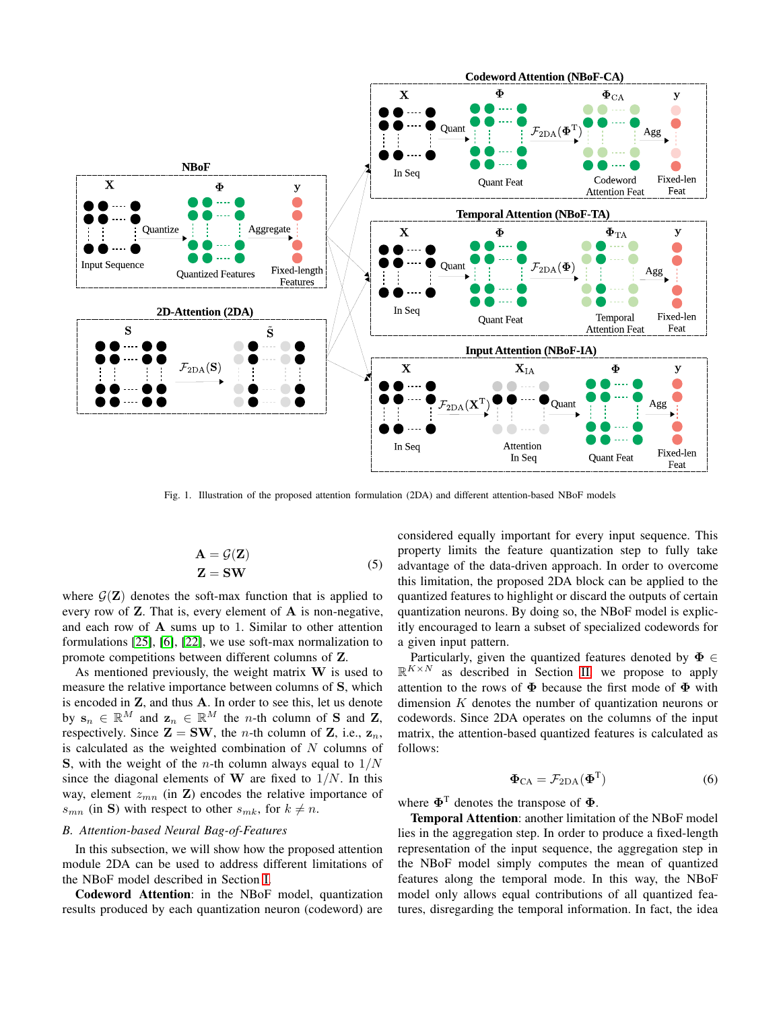

<span id="page-3-0"></span>Fig. 1. Illustration of the proposed attention formulation (2DA) and different attention-based NBoF models

$$
\mathbf{A} = \mathcal{G}(\mathbf{Z}) \mathbf{Z} = \mathbf{SW}
$$
\n(5)

where  $\mathcal{G}(Z)$  denotes the soft-max function that is applied to every row of  $Z$ . That is, every element of  $A$  is non-negative, and each row of A sums up to 1. Similar to other attention formulations [\[25\]](#page-9-9), [\[6\]](#page-8-5), [\[22\]](#page-9-6), we use soft-max normalization to promote competitions between different columns of Z.

As mentioned previously, the weight matrix  $W$  is used to measure the relative importance between columns of S, which is encoded in Z, and thus A. In order to see this, let us denote by  $\mathbf{s}_n \in \mathbb{R}^M$  and  $\mathbf{z}_n \in \mathbb{R}^M$  the *n*-th column of S and Z, respectively. Since  $\mathbf{Z} = \mathbf{SW}$ , the *n*-th column of  $\mathbf{Z}$ , i.e.,  $\mathbf{z}_n$ , is calculated as the weighted combination of  $N$  columns of S, with the weight of the *n*-th column always equal to  $1/N$ since the diagonal elements of W are fixed to  $1/N$ . In this way, element  $z_{mn}$  (in **Z**) encodes the relative importance of  $s_{mn}$  (in S) with respect to other  $s_{mk}$ , for  $k \neq n$ .

# *B. Attention-based Neural Bag-of-Features*

In this subsection, we will show how the proposed attention module 2DA can be used to address different limitations of the NBoF model described in Section [I.](#page-0-0)

Codeword Attention: in the NBoF model, quantization results produced by each quantization neuron (codeword) are

considered equally important for every input sequence. This property limits the feature quantization step to fully take advantage of the data-driven approach. In order to overcome this limitation, the proposed 2DA block can be applied to the quantized features to highlight or discard the outputs of certain quantization neurons. By doing so, the NBoF model is explicitly encouraged to learn a subset of specialized codewords for a given input pattern.

Particularly, given the quantized features denoted by  $\Phi \in$  $\mathbb{R}^{K \times N}$  as described in Section [II,](#page-1-0) we propose to apply attention to the rows of  $\Phi$  because the first mode of  $\Phi$  with dimension  $K$  denotes the number of quantization neurons or codewords. Since 2DA operates on the columns of the input matrix, the attention-based quantized features is calculated as follows:

$$
\Phi_{\text{CA}} = \mathcal{F}_{\text{2DA}}(\Phi^{\text{T}})
$$
 (6)

where  $\Phi^T$  denotes the transpose of  $\Phi$ .

Temporal Attention: another limitation of the NBoF model lies in the aggregation step. In order to produce a fixed-length representation of the input sequence, the aggregation step in the NBoF model simply computes the mean of quantized features along the temporal mode. In this way, the NBoF model only allows equal contributions of all quantized features, disregarding the temporal information. In fact, the idea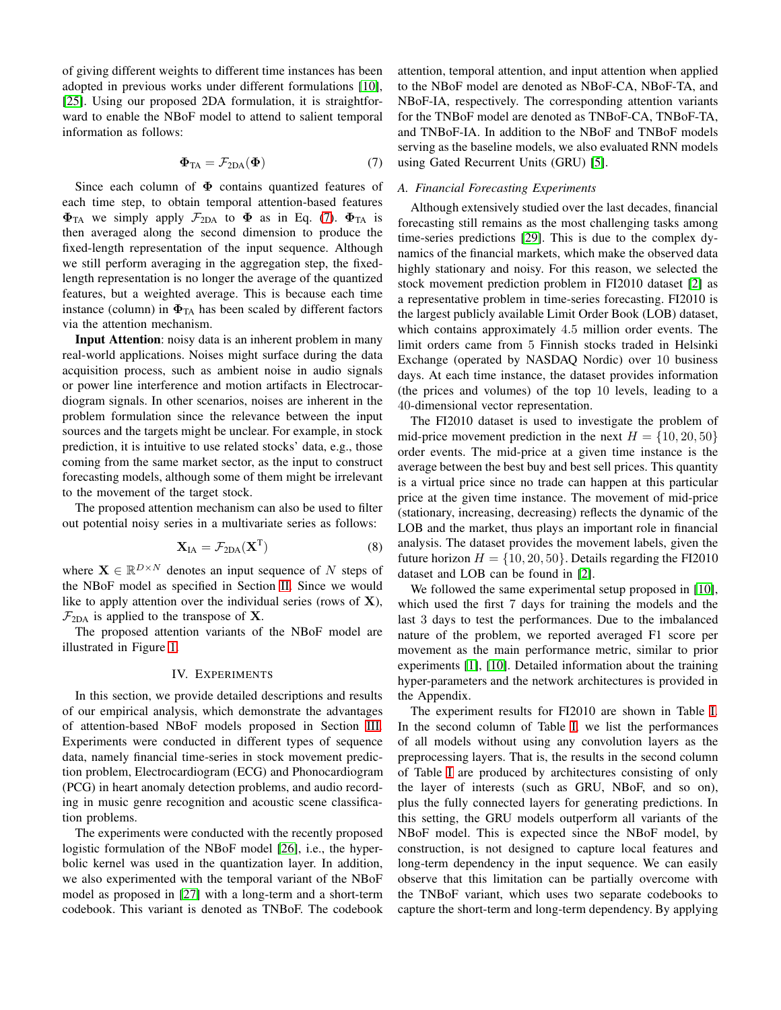of giving different weights to different time instances has been adopted in previous works under different formulations [\[10\]](#page-8-9), [\[25\]](#page-9-9). Using our proposed 2DA formulation, it is straightforward to enable the NBoF model to attend to salient temporal information as follows:

<span id="page-4-1"></span>
$$
\Phi_{TA} = \mathcal{F}_{2DA}(\Phi) \tag{7}
$$

Since each column of  $\Phi$  contains quantized features of each time step, to obtain temporal attention-based features  $\Phi_{TA}$  we simply apply  $\mathcal{F}_{2DA}$  to  $\Phi$  as in Eq. [\(7\)](#page-4-1).  $\Phi_{TA}$  is then averaged along the second dimension to produce the fixed-length representation of the input sequence. Although we still perform averaging in the aggregation step, the fixedlength representation is no longer the average of the quantized features, but a weighted average. This is because each time instance (column) in  $\Phi_{TA}$  has been scaled by different factors via the attention mechanism.

Input Attention: noisy data is an inherent problem in many real-world applications. Noises might surface during the data acquisition process, such as ambient noise in audio signals or power line interference and motion artifacts in Electrocardiogram signals. In other scenarios, noises are inherent in the problem formulation since the relevance between the input sources and the targets might be unclear. For example, in stock prediction, it is intuitive to use related stocks' data, e.g., those coming from the same market sector, as the input to construct forecasting models, although some of them might be irrelevant to the movement of the target stock.

The proposed attention mechanism can also be used to filter out potential noisy series in a multivariate series as follows:

$$
\mathbf{X}_{IA} = \mathcal{F}_{2DA}(\mathbf{X}^{T})
$$
 (8)

where  $\mathbf{X} \in \mathbb{R}^{D \times N}$  denotes an input sequence of N steps of the NBoF model as specified in Section [II.](#page-1-0) Since we would like to apply attention over the individual series (rows of  $X$ ),  $\mathcal{F}_{2DA}$  is applied to the transpose of **X**.

<span id="page-4-0"></span>The proposed attention variants of the NBoF model are illustrated in Figure [1.](#page-3-0)

# IV. EXPERIMENTS

In this section, we provide detailed descriptions and results of our empirical analysis, which demonstrate the advantages of attention-based NBoF models proposed in Section [III.](#page-2-0) Experiments were conducted in different types of sequence data, namely financial time-series in stock movement prediction problem, Electrocardiogram (ECG) and Phonocardiogram (PCG) in heart anomaly detection problems, and audio recording in music genre recognition and acoustic scene classification problems.

The experiments were conducted with the recently proposed logistic formulation of the NBoF model [\[26\]](#page-9-10), i.e., the hyperbolic kernel was used in the quantization layer. In addition, we also experimented with the temporal variant of the NBoF model as proposed in [\[27\]](#page-9-11) with a long-term and a short-term codebook. This variant is denoted as TNBoF. The codebook attention, temporal attention, and input attention when applied to the NBoF model are denoted as NBoF-CA, NBoF-TA, and NBoF-IA, respectively. The corresponding attention variants for the TNBoF model are denoted as TNBoF-CA, TNBoF-TA, and TNBoF-IA. In addition to the NBoF and TNBoF models serving as the baseline models, we also evaluated RNN models using Gated Recurrent Units (GRU) [\[5\]](#page-8-4).

# <span id="page-4-2"></span>*A. Financial Forecasting Experiments*

Although extensively studied over the last decades, financial forecasting still remains as the most challenging tasks among time-series predictions [\[29\]](#page-9-13). This is due to the complex dynamics of the financial markets, which make the observed data highly stationary and noisy. For this reason, we selected the stock movement prediction problem in FI2010 dataset [\[2\]](#page-8-1) as a representative problem in time-series forecasting. FI2010 is the largest publicly available Limit Order Book (LOB) dataset, which contains approximately 4.5 million order events. The limit orders came from 5 Finnish stocks traded in Helsinki Exchange (operated by NASDAQ Nordic) over 10 business days. At each time instance, the dataset provides information (the prices and volumes) of the top 10 levels, leading to a 40-dimensional vector representation.

The FI2010 dataset is used to investigate the problem of mid-price movement prediction in the next  $H = \{10, 20, 50\}$ order events. The mid-price at a given time instance is the average between the best buy and best sell prices. This quantity is a virtual price since no trade can happen at this particular price at the given time instance. The movement of mid-price (stationary, increasing, decreasing) reflects the dynamic of the LOB and the market, thus plays an important role in financial analysis. The dataset provides the movement labels, given the future horizon  $H = \{10, 20, 50\}$ . Details regarding the FI2010 dataset and LOB can be found in [\[2\]](#page-8-1).

We followed the same experimental setup proposed in [\[10\]](#page-8-9), which used the first 7 days for training the models and the last 3 days to test the performances. Due to the imbalanced nature of the problem, we reported averaged F1 score per movement as the main performance metric, similar to prior experiments [\[1\]](#page-8-0), [\[10\]](#page-8-9). Detailed information about the training hyper-parameters and the network architectures is provided in the Appendix.

The experiment results for FI2010 are shown in Table [I.](#page-5-0) In the second column of Table [I,](#page-5-0) we list the performances of all models without using any convolution layers as the preprocessing layers. That is, the results in the second column of Table [I](#page-5-0) are produced by architectures consisting of only the layer of interests (such as GRU, NBoF, and so on), plus the fully connected layers for generating predictions. In this setting, the GRU models outperform all variants of the NBoF model. This is expected since the NBoF model, by construction, is not designed to capture local features and long-term dependency in the input sequence. We can easily observe that this limitation can be partially overcome with the TNBoF variant, which uses two separate codebooks to capture the short-term and long-term dependency. By applying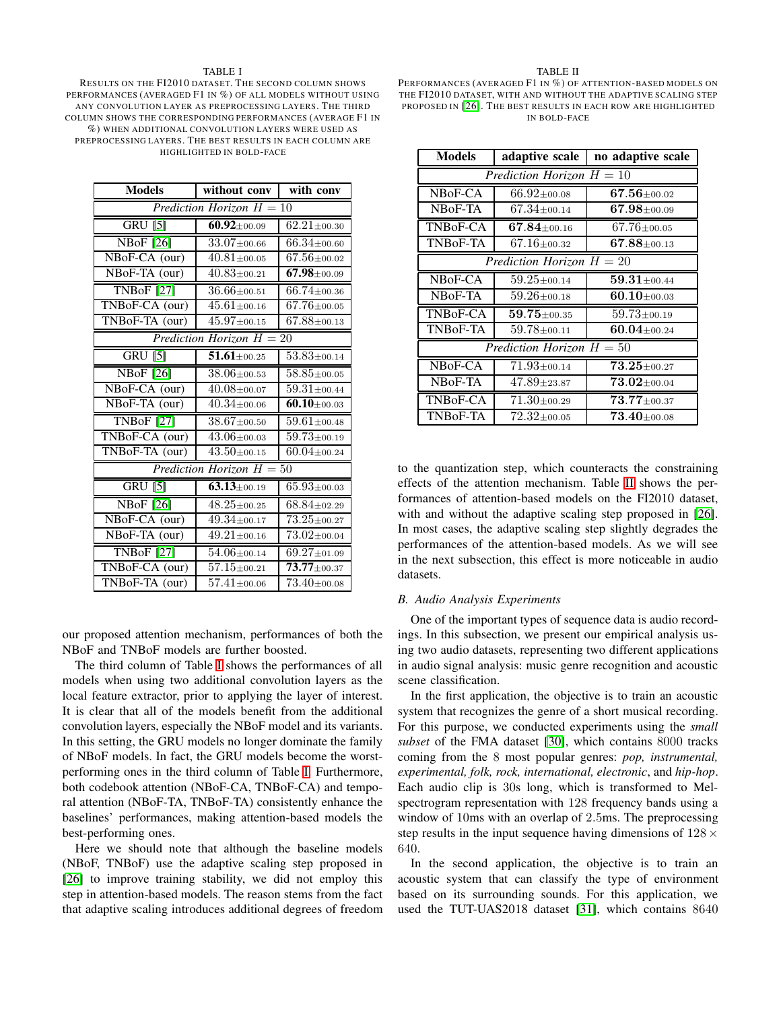#### TABLE I

<span id="page-5-0"></span>RESULTS ON THE FI2010 DATASET. THE SECOND COLUMN SHOWS PERFORMANCES (AVERAGED F1 IN %) OF ALL MODELS WITHOUT USING ANY CONVOLUTION LAYER AS PREPROCESSING LAYERS. THE THIRD COLUMN SHOWS THE CORRESPONDING PERFORMANCES (AVERAGE F1 IN %) WHEN ADDITIONAL CONVOLUTION LAYERS WERE USED AS PREPROCESSING LAYERS. THE BEST RESULTS IN EACH COLUMN ARE HIGHLIGHTED IN BOLD-FACE

| <b>Models</b>                  | without conv                    | with conv                       |
|--------------------------------|---------------------------------|---------------------------------|
| Prediction Horizon $H = 10$    |                                 |                                 |
| $GRU$ [5]                      | $60.92 \pm 00.09$               | $62.21 \pm 00.30$               |
| <b>NBoF</b> [26]               | $33.07 \pm 00.66$               | $66.34 \pm 00.60$               |
| NBoF-CA (our)                  | $40.81 \pm 00.05$               | $67.56 \pm 00.02$               |
| NBoF-TA (our)                  | $40.83 \pm 00.21$               | $67.98 \pm 00.09$               |
| <b>TNBoF</b> [27]              | $36.66 \pm 00.51$               | $66.74 \pm 00.36$               |
| TNBoF-CA (our)                 | $45.61 \pm 00.16$               | $67.76 \pm 00.05$               |
| TNBoF-TA (our)                 | $45.97 \pm 00.15$               | $67.88{\scriptstyle\pm00.13}$   |
| Prediction Horizon $H = 20$    |                                 |                                 |
| $GRU$ [5]                      | $51.61 \pm 00.25$               | $53.83 \pm 00.14$               |
| <b>NBoF</b> [26]               | $38.06 \pm 00.53$               | $58.85 \pm 00.05$               |
| NBoF-CA (our)                  | $40.08 \scriptstyle{\pm 00.07}$ | $59.31{\scriptstyle \pm 00.44}$ |
| NBoF-TA (our)                  | $40.34 \pm 00.06$               | $60.10 \pm 00.03$               |
| <b>TNBoF</b> [27]              | $38.67 \pm 00.50$               | $59.61 \pm 00.48$               |
| TNBoF-CA (our)                 | $43.06 \pm 00.03$               | $59.73 \pm 00.19$               |
| TNBoF-TA (our)                 | $43.50 \pm 00.15$               | $60.04 \scriptstyle{\pm 00.24}$ |
| Prediction Horizon $H = 50$    |                                 |                                 |
| $GRU$ <sup>[5]</sup>           | $63.13 \pm 00.19$               | $65.93 \pm 00.03$               |
| <b>NBoF</b> [26]               | $48.25 \pm 00.25$               | $68.84 \pm 02.29$               |
| NBoF-CA (our)                  | $49.34 \pm 00.17$               | $73.25 \pm 00.27$               |
| NBoF-TA (our)                  | $49.21 \pm 00.16$               | $73.02 \pm 00.04$               |
| $\overline{\text{TNBoF}}$ [27] | $54.06 \pm 00.14$               | $69.27 \pm 01.09$               |
| TNBoF-CA (our)                 | $57.15 \pm 00.21$               | $73.77 \pm 00.37$               |
| TNBoF-TA (our)                 | $57.41 \pm 00.06$               | $73.40 \pm 00.08$               |

our proposed attention mechanism, performances of both the NBoF and TNBoF models are further boosted.

The third column of Table [I](#page-5-0) shows the performances of all models when using two additional convolution layers as the local feature extractor, prior to applying the layer of interest. It is clear that all of the models benefit from the additional convolution layers, especially the NBoF model and its variants. In this setting, the GRU models no longer dominate the family of NBoF models. In fact, the GRU models become the worstperforming ones in the third column of Table [I.](#page-5-0) Furthermore, both codebook attention (NBoF-CA, TNBoF-CA) and temporal attention (NBoF-TA, TNBoF-TA) consistently enhance the baselines' performances, making attention-based models the best-performing ones.

Here we should note that although the baseline models (NBoF, TNBoF) use the adaptive scaling step proposed in [\[26\]](#page-9-10) to improve training stability, we did not employ this step in attention-based models. The reason stems from the fact that adaptive scaling introduces additional degrees of freedom

#### TABLE II

<span id="page-5-1"></span>PERFORMANCES (AVERAGED F1 IN %) OF ATTENTION-BASED MODELS ON THE FI2010 DATASET, WITH AND WITHOUT THE ADAPTIVE SCALING STEP PROPOSED IN [\[26\]](#page-9-10). THE BEST RESULTS IN EACH ROW ARE HIGHLIGHTED IN BOLD-FACE

| <b>Models</b>               | adaptive scale                  | no adaptive scale                        |
|-----------------------------|---------------------------------|------------------------------------------|
| Prediction Horizon $H = 10$ |                                 |                                          |
| NBoF-CA                     | $66.92 \pm 00.08$               | $67.56 \pm 00.02$                        |
| NBoF-TA                     | $67.34 \pm 00.14$               | $67.98 \pm 00.09$                        |
| TNB <sub>o</sub> F-CA       | $67.84 \scriptstyle{\pm 00.16}$ | $67.76 \pm 00.05$                        |
| TNB0F-TA                    | $67.16 + 00.32$                 | $67.88 \pm 00.13$                        |
| Prediction Horizon $H = 20$ |                                 |                                          |
| NBoF-CA                     | $59.25{\scriptstyle \pm 00.14}$ | $\mathbf{59.31} \scriptstyle{\pm 00.44}$ |
| NBoF-TA                     | $59.26 \pm 00.18$               | $60.10 \scriptstyle{\pm 00.03}$          |
| TNBoF-CA                    | $59.75 \scriptstyle{\pm 00.35}$ | $59.73 \pm 00.19$                        |
| <b>TNBoF-TA</b>             | $59.78 \pm 00.11$               | $60.04\scriptstyle\pm 00.24$             |
| Prediction Horizon $H = 50$ |                                 |                                          |
| NBoF-CA                     | $71.93 \pm 00.14$               | $73.25 \pm 00.27$                        |
| NB <sub>o</sub> F-TA        | $47.89 \pm 23.87$               | $73.02 \pm 00.04$                        |
| TNBoF-CA                    | $71.30 \pm 00.29$               | $73.77 \pm 00.37$                        |
| <b>TNBoF-TA</b>             | $72.32 \pm 00.05$               | $73.40 \pm 00.08$                        |

to the quantization step, which counteracts the constraining effects of the attention mechanism. Table [II](#page-5-1) shows the performances of attention-based models on the FI2010 dataset, with and without the adaptive scaling step proposed in [\[26\]](#page-9-10). In most cases, the adaptive scaling step slightly degrades the performances of the attention-based models. As we will see in the next subsection, this effect is more noticeable in audio datasets.

## *B. Audio Analysis Experiments*

One of the important types of sequence data is audio recordings. In this subsection, we present our empirical analysis using two audio datasets, representing two different applications in audio signal analysis: music genre recognition and acoustic scene classification.

In the first application, the objective is to train an acoustic system that recognizes the genre of a short musical recording. For this purpose, we conducted experiments using the *small subset* of the FMA dataset [\[30\]](#page-9-14), which contains 8000 tracks coming from the 8 most popular genres: *pop, instrumental, experimental, folk, rock, international, electronic*, and *hip-hop*. Each audio clip is 30s long, which is transformed to Melspectrogram representation with 128 frequency bands using a window of 10ms with an overlap of 2.5ms. The preprocessing step results in the input sequence having dimensions of  $128 \times$ 640.

In the second application, the objective is to train an acoustic system that can classify the type of environment based on its surrounding sounds. For this application, we used the TUT-UAS2018 dataset [\[31\]](#page-9-15), which contains 8640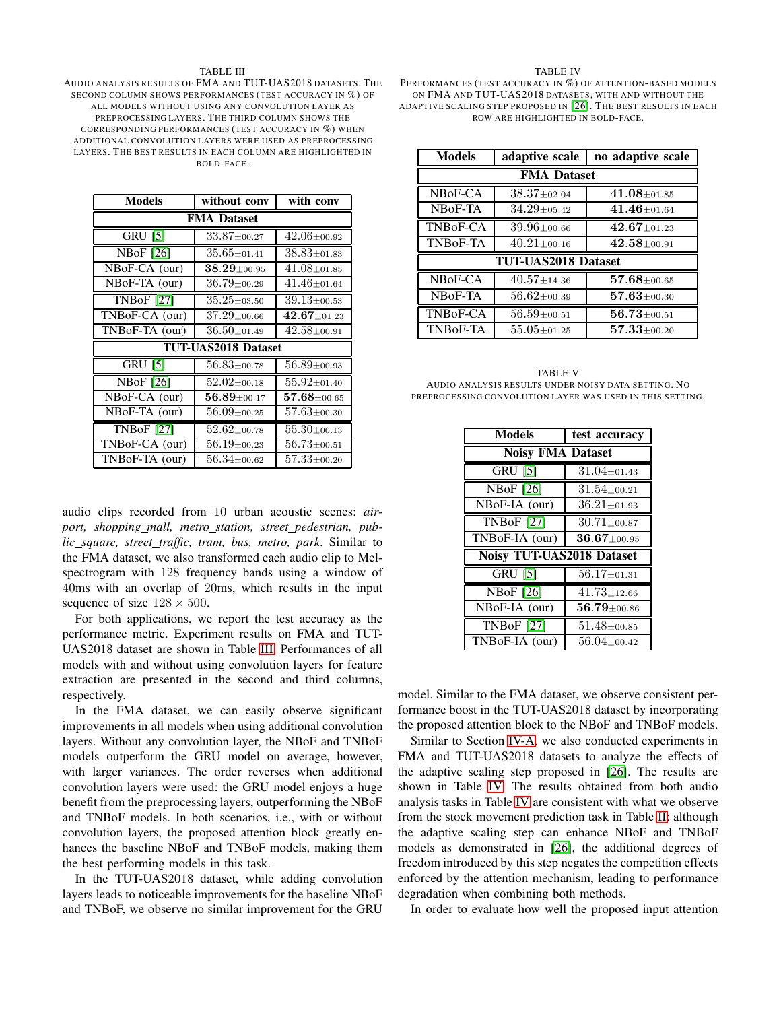#### TABLE III

<span id="page-6-0"></span>AUDIO ANALYSIS RESULTS OF FMA AND TUT-UAS2018 DATASETS. THE SECOND COLUMN SHOWS PERFORMANCES (TEST ACCURACY IN %) OF ALL MODELS WITHOUT USING ANY CONVOLUTION LAYER AS PREPROCESSING LAYERS. THE THIRD COLUMN SHOWS THE CORRESPONDING PERFORMANCES (TEST ACCURACY IN %) WHEN ADDITIONAL CONVOLUTION LAYERS WERE USED AS PREPROCESSING LAYERS. THE BEST RESULTS IN EACH COLUMN ARE HIGHLIGHTED IN BOLD-FACE.

| <b>Models</b>                      | without conv                           | with conv                                           |
|------------------------------------|----------------------------------------|-----------------------------------------------------|
| <b>FMA Dataset</b>                 |                                        |                                                     |
| $\overline{GRU}$ [5]               | $33.87 \pm 00.27$                      | $42.06 \pm 00.92$                                   |
| <b>NBoF</b> [26]                   | $35.65 \pm 01.41$                      | $38.83 \pm 01.83$                                   |
| $\overline{\text{NBo}}$ F-CA (our) | $\mathbf{38.29}{\scriptstyle\pm00.95}$ | $41.08 \pm 01.85$                                   |
| NBoF-TA (our)                      | $36.79 \pm 00.29$                      | $41.46 \pm 01.64$                                   |
| TNBoF[27]                          | $35.25 \pm 03.50$                      | $39.13 \pm 00.53$                                   |
| TNBoF-CA (our)                     | $37.29 \pm 00.66$                      | $\overline{\textbf{42.67}} \scriptstyle{\pm 01.23}$ |
| TNBoF-TA (our)                     | $36.50 \pm 01.49$                      | $42.58 \pm 00.91$                                   |
| <b>TUT-UAS2018 Dataset</b>         |                                        |                                                     |
| <b>GRU [5]</b>                     | $56.83{\scriptstyle \pm 00.78}$        | $56.89 \pm 00.93$                                   |
| <b>NBoF</b> [26]                   | $52.02 \pm 00.18$                      | $55.92 \pm 01.40$                                   |
| NBoF-CA (our)                      | $56.89 \pm 00.17$                      | $\mathbf{57.68} \scriptstyle{\pm 00.65}$            |
| NBoF-TA (our)                      | $56.09 \pm 00.25$                      | $57.63 \pm 00.30$                                   |
| <b>TNBoF</b> [27]                  | $52.62 \pm 00.78$                      | $55.30 \pm 00.13$                                   |
| TNBoF-CA (our)                     | $56.19 \pm 00.23$                      | $56.73 \pm 00.51$                                   |
| TNBoF-TA (our)                     | $56.34 \pm 00.62$                      | $57.33 \pm 00.20$                                   |

audio clips recorded from 10 urban acoustic scenes: *airport, shopping mall, metro station, street pedestrian, public square, street traffic, tram, bus, metro, park*. Similar to the FMA dataset, we also transformed each audio clip to Melspectrogram with 128 frequency bands using a window of 40ms with an overlap of 20ms, which results in the input sequence of size  $128 \times 500$ .

For both applications, we report the test accuracy as the performance metric. Experiment results on FMA and TUT-UAS2018 dataset are shown in Table [III.](#page-6-0) Performances of all models with and without using convolution layers for feature extraction are presented in the second and third columns, respectively.

In the FMA dataset, we can easily observe significant improvements in all models when using additional convolution layers. Without any convolution layer, the NBoF and TNBoF models outperform the GRU model on average, however, with larger variances. The order reverses when additional convolution layers were used: the GRU model enjoys a huge benefit from the preprocessing layers, outperforming the NBoF and TNBoF models. In both scenarios, i.e., with or without convolution layers, the proposed attention block greatly enhances the baseline NBoF and TNBoF models, making them the best performing models in this task.

In the TUT-UAS2018 dataset, while adding convolution layers leads to noticeable improvements for the baseline NBoF and TNBoF, we observe no similar improvement for the GRU

#### TABLE IV

<span id="page-6-1"></span>PERFORMANCES (TEST ACCURACY IN %) OF ATTENTION-BASED MODELS ON FMA AND TUT-UAS2018 DATASETS, WITH AND WITHOUT THE ADAPTIVE SCALING STEP PROPOSED IN [\[26\]](#page-9-10). THE BEST RESULTS IN EACH ROW ARE HIGHLIGHTED IN BOLD-FACE.

| <b>Models</b>       | adaptive scale                | no adaptive scale |
|---------------------|-------------------------------|-------------------|
| <b>FMA</b> Dataset  |                               |                   |
| NBoF-CA             | $38.37 \pm 02.04$             | $41.08 \pm 01.85$ |
| NBoF-TA             | $34.29 \pm 05.42$             | $41.46 \pm 01.64$ |
| TNBoF-CA            | $39.96{\scriptstyle\pm00.66}$ | $42.67 \pm 01.23$ |
| TNBoF-TA            | $40.21 \pm 00.16$             | $42.58 \pm 00.91$ |
| TUT-UAS2018 Dataset |                               |                   |
| NBoF-CA             | $40.57 \pm 14.36$             | $57.68 \pm 00.65$ |
| NBoF-TA             | $56.62 \pm 00.39$             | $57.63 \pm 00.30$ |
| TNBoF-CA            | $56.59 \pm 00.51$             | $56.73 \pm 00.51$ |
| TNBoF-TA            | $55.05{\scriptstyle\pm01.25}$ | $57.33 \pm 00.20$ |

<span id="page-6-2"></span>TABLE V AUDIO ANALYSIS RESULTS UNDER NOISY DATA SETTING. NO PREPROCESSING CONVOLUTION LAYER WAS USED IN THIS SETTING.

| <b>Models</b>                    | test accuracy     |  |
|----------------------------------|-------------------|--|
| <b>Noisy FMA Dataset</b>         |                   |  |
| $GRU$ [5]                        | $31.04 \pm 01.43$ |  |
| $\overline{\text{NBoF}}$ [26]    | $31.54 \pm 00.21$ |  |
| NBoF-IA (our)                    | $36.21 \pm 01.93$ |  |
| <b>TNBoF</b> [27]                | $30.71 \pm 00.87$ |  |
| TNBoF-IA (our)                   | $36.67 \pm 00.95$ |  |
| <b>Noisy TUT-UAS2018 Dataset</b> |                   |  |
| <b>GRU [5]</b>                   | $56.17 \pm 01.31$ |  |
| <b>NBoF</b> [26]                 | $41.73 \pm 12.66$ |  |
| NBoF-IA (our)                    | $56.79 \pm 00.86$ |  |
| <b>TNBoF</b> [27]                | $51.48 \pm 00.85$ |  |
| TNBoF-IA (our)                   | $56.04 \pm 00.42$ |  |

model. Similar to the FMA dataset, we observe consistent performance boost in the TUT-UAS2018 dataset by incorporating the proposed attention block to the NBoF and TNBoF models.

Similar to Section [IV-A,](#page-4-2) we also conducted experiments in FMA and TUT-UAS2018 datasets to analyze the effects of the adaptive scaling step proposed in [\[26\]](#page-9-10). The results are shown in Table [IV.](#page-6-1) The results obtained from both audio analysis tasks in Table [IV](#page-6-1) are consistent with what we observe from the stock movement prediction task in Table [II:](#page-5-1) although the adaptive scaling step can enhance NBoF and TNBoF models as demonstrated in [\[26\]](#page-9-10), the additional degrees of freedom introduced by this step negates the competition effects enforced by the attention mechanism, leading to performance degradation when combining both methods.

In order to evaluate how well the proposed input attention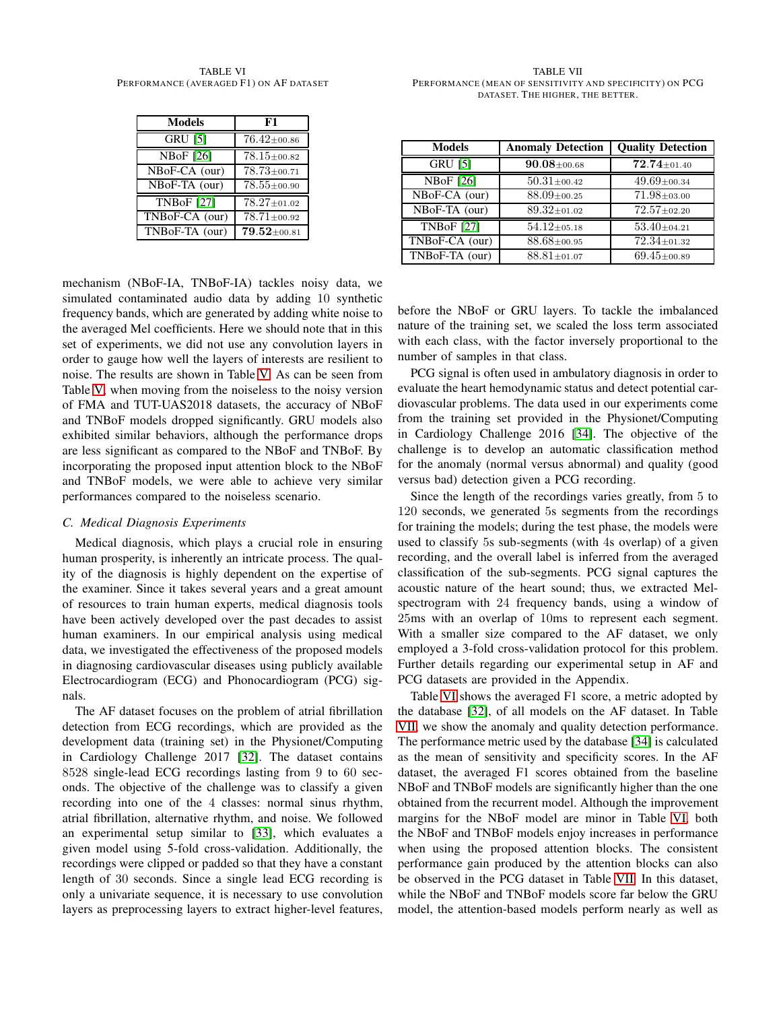<span id="page-7-0"></span>TABLE VI PERFORMANCE (AVERAGED F1) ON AF DATASET

| <b>Models</b>                 | F1                        |
|-------------------------------|---------------------------|
| $GRU$ [5]                     | $76.42 \pm 00.86$         |
| $\overline{\text{NBoF}}$ [26] | $\overline{78.15}$ ±00.82 |
| NBoF-CA (our)                 | $78.73 \pm 00.71$         |
| $NBoF-TA$ (our)               | $78.55 \pm 00.90$         |
| <b>TNBoF</b> [27]             | $78.27 \pm 01.02$         |
| TNBoF-CA (our)                | $78.71 \pm 00.92$         |
| TNBoF-TA (our)                | $79.52 \pm 00.81$         |

mechanism (NBoF-IA, TNBoF-IA) tackles noisy data, we simulated contaminated audio data by adding 10 synthetic frequency bands, which are generated by adding white noise to the averaged Mel coefficients. Here we should note that in this set of experiments, we did not use any convolution layers in order to gauge how well the layers of interests are resilient to noise. The results are shown in Table [V.](#page-6-2) As can be seen from Table [V,](#page-6-2) when moving from the noiseless to the noisy version of FMA and TUT-UAS2018 datasets, the accuracy of NBoF and TNBoF models dropped significantly. GRU models also exhibited similar behaviors, although the performance drops are less significant as compared to the NBoF and TNBoF. By incorporating the proposed input attention block to the NBoF and TNBoF models, we were able to achieve very similar performances compared to the noiseless scenario.

## *C. Medical Diagnosis Experiments*

Medical diagnosis, which plays a crucial role in ensuring human prosperity, is inherently an intricate process. The quality of the diagnosis is highly dependent on the expertise of the examiner. Since it takes several years and a great amount of resources to train human experts, medical diagnosis tools have been actively developed over the past decades to assist human examiners. In our empirical analysis using medical data, we investigated the effectiveness of the proposed models in diagnosing cardiovascular diseases using publicly available Electrocardiogram (ECG) and Phonocardiogram (PCG) signals.

The AF dataset focuses on the problem of atrial fibrillation detection from ECG recordings, which are provided as the development data (training set) in the Physionet/Computing in Cardiology Challenge 2017 [\[32\]](#page-9-16). The dataset contains 8528 single-lead ECG recordings lasting from 9 to 60 seconds. The objective of the challenge was to classify a given recording into one of the 4 classes: normal sinus rhythm, atrial fibrillation, alternative rhythm, and noise. We followed an experimental setup similar to [\[33\]](#page-9-17), which evaluates a given model using 5-fold cross-validation. Additionally, the recordings were clipped or padded so that they have a constant length of 30 seconds. Since a single lead ECG recording is only a univariate sequence, it is necessary to use convolution layers as preprocessing layers to extract higher-level features,

<span id="page-7-1"></span>TABLE VII PERFORMANCE (MEAN OF SENSITIVITY AND SPECIFICITY) ON PCG DATASET. THE HIGHER, THE BETTER.

| <b>Models</b>    | <b>Anomaly Detection</b> | <b>Quality Detection</b> |
|------------------|--------------------------|--------------------------|
| <b>GRU [5]</b>   | $90.08 \pm 00.68$        | $72.74 \pm 01.40$        |
| <b>NBoF</b> [26] | $50.31 \pm 00.42$        | $49.69 \pm 00.34$        |
| NBoF-CA (our)    | $88.09 \pm 00.25$        | $71.98 \pm 03.00$        |
| NBoF-TA (our)    | 89.32±01.02              | $72.57 \pm 02.20$        |
| TNBoF [27]       | $54.12{\pm}05.18$        | $53.40 \pm 04.21$        |
| TNBoF-CA (our)   | $88.68 \pm 00.95$        | $72.34 \pm 01.32$        |
| TNBoF-TA (our)   | $88.81 \pm 01.07$        | $69.45 \pm 00.89$        |

before the NBoF or GRU layers. To tackle the imbalanced nature of the training set, we scaled the loss term associated with each class, with the factor inversely proportional to the

number of samples in that class.

PCG signal is often used in ambulatory diagnosis in order to evaluate the heart hemodynamic status and detect potential cardiovascular problems. The data used in our experiments come from the training set provided in the Physionet/Computing in Cardiology Challenge 2016 [\[34\]](#page-9-18). The objective of the challenge is to develop an automatic classification method for the anomaly (normal versus abnormal) and quality (good versus bad) detection given a PCG recording.

Since the length of the recordings varies greatly, from 5 to 120 seconds, we generated 5s segments from the recordings for training the models; during the test phase, the models were used to classify 5s sub-segments (with 4s overlap) of a given recording, and the overall label is inferred from the averaged classification of the sub-segments. PCG signal captures the acoustic nature of the heart sound; thus, we extracted Melspectrogram with 24 frequency bands, using a window of 25ms with an overlap of 10ms to represent each segment. With a smaller size compared to the AF dataset, we only employed a 3-fold cross-validation protocol for this problem. Further details regarding our experimental setup in AF and PCG datasets are provided in the Appendix.

Table [VI](#page-7-0) shows the averaged F1 score, a metric adopted by the database [\[32\]](#page-9-16), of all models on the AF dataset. In Table [VII,](#page-7-1) we show the anomaly and quality detection performance. The performance metric used by the database [\[34\]](#page-9-18) is calculated as the mean of sensitivity and specificity scores. In the AF dataset, the averaged F1 scores obtained from the baseline NBoF and TNBoF models are significantly higher than the one obtained from the recurrent model. Although the improvement margins for the NBoF model are minor in Table [VI,](#page-7-0) both the NBoF and TNBoF models enjoy increases in performance when using the proposed attention blocks. The consistent performance gain produced by the attention blocks can also be observed in the PCG dataset in Table [VII.](#page-7-1) In this dataset, while the NBoF and TNBoF models score far below the GRU model, the attention-based models perform nearly as well as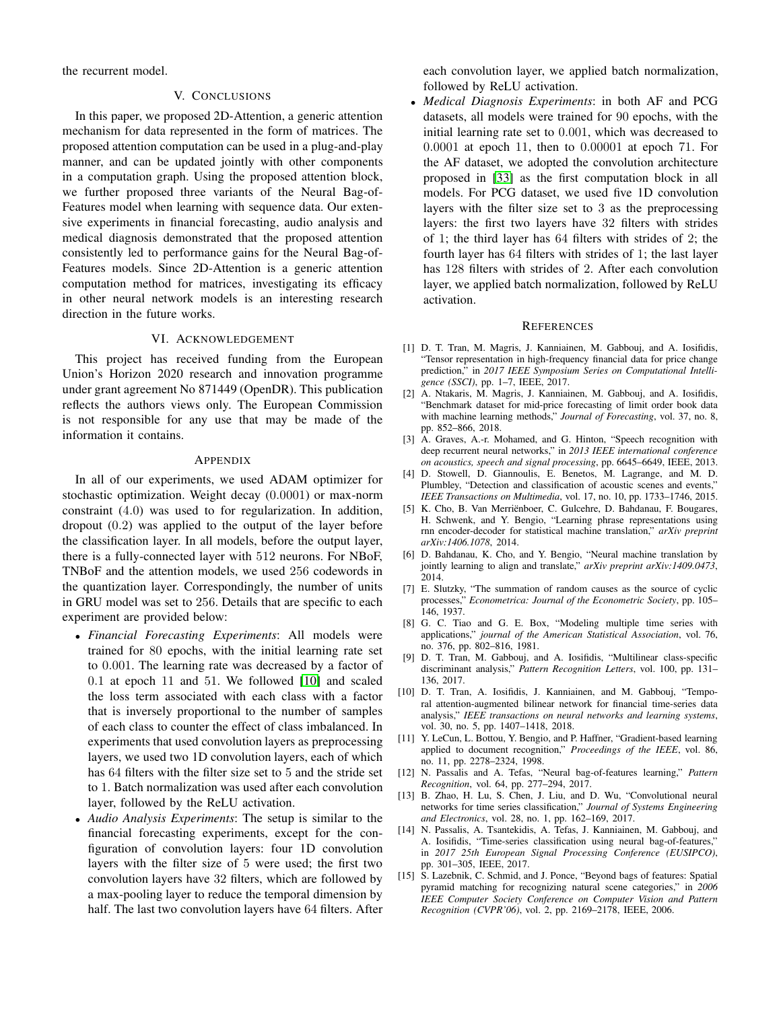<span id="page-8-15"></span>the recurrent model.

## V. CONCLUSIONS

In this paper, we proposed 2D-Attention, a generic attention mechanism for data represented in the form of matrices. The proposed attention computation can be used in a plug-and-play manner, and can be updated jointly with other components in a computation graph. Using the proposed attention block, we further proposed three variants of the Neural Bag-of-Features model when learning with sequence data. Our extensive experiments in financial forecasting, audio analysis and medical diagnosis demonstrated that the proposed attention consistently led to performance gains for the Neural Bag-of-Features models. Since 2D-Attention is a generic attention computation method for matrices, investigating its efficacy in other neural network models is an interesting research direction in the future works.

### VI. ACKNOWLEDGEMENT

This project has received funding from the European Union's Horizon 2020 research and innovation programme under grant agreement No 871449 (OpenDR). This publication reflects the authors views only. The European Commission is not responsible for any use that may be made of the information it contains.

#### APPENDIX

In all of our experiments, we used ADAM optimizer for stochastic optimization. Weight decay (0.0001) or max-norm constraint (4.0) was used to for regularization. In addition, dropout (0.2) was applied to the output of the layer before the classification layer. In all models, before the output layer, there is a fully-connected layer with 512 neurons. For NBoF, TNBoF and the attention models, we used 256 codewords in the quantization layer. Correspondingly, the number of units in GRU model was set to 256. Details that are specific to each experiment are provided below:

- *Financial Forecasting Experiments*: All models were trained for 80 epochs, with the initial learning rate set to 0.001. The learning rate was decreased by a factor of 0.1 at epoch 11 and 51. We followed [\[10\]](#page-8-9) and scaled the loss term associated with each class with a factor that is inversely proportional to the number of samples of each class to counter the effect of class imbalanced. In experiments that used convolution layers as preprocessing layers, we used two 1D convolution layers, each of which has 64 filters with the filter size set to 5 and the stride set to 1. Batch normalization was used after each convolution layer, followed by the ReLU activation.
- *Audio Analysis Experiments*: The setup is similar to the financial forecasting experiments, except for the configuration of convolution layers: four 1D convolution layers with the filter size of 5 were used; the first two convolution layers have 32 filters, which are followed by a max-pooling layer to reduce the temporal dimension by half. The last two convolution layers have 64 filters. After

each convolution layer, we applied batch normalization, followed by ReLU activation.

• *Medical Diagnosis Experiments*: in both AF and PCG datasets, all models were trained for 90 epochs, with the initial learning rate set to 0.001, which was decreased to 0.0001 at epoch 11, then to 0.00001 at epoch 71. For the AF dataset, we adopted the convolution architecture proposed in [\[33\]](#page-9-17) as the first computation block in all models. For PCG dataset, we used five 1D convolution layers with the filter size set to 3 as the preprocessing layers: the first two layers have 32 filters with strides of 1; the third layer has 64 filters with strides of 2; the fourth layer has 64 filters with strides of 1; the last layer has 128 filters with strides of 2. After each convolution layer, we applied batch normalization, followed by ReLU activation.

#### **REFERENCES**

- <span id="page-8-0"></span>[1] D. T. Tran, M. Magris, J. Kanniainen, M. Gabbouj, and A. Iosifidis, "Tensor representation in high-frequency financial data for price change prediction," in *2017 IEEE Symposium Series on Computational Intelligence (SSCI)*, pp. 1–7, IEEE, 2017.
- <span id="page-8-1"></span>[2] A. Ntakaris, M. Magris, J. Kanniainen, M. Gabbouj, and A. Iosifidis, "Benchmark dataset for mid-price forecasting of limit order book data with machine learning methods," *Journal of Forecasting*, vol. 37, no. 8, pp. 852–866, 2018.
- <span id="page-8-2"></span>[3] A. Graves, A.-r. Mohamed, and G. Hinton, "Speech recognition with deep recurrent neural networks," in *2013 IEEE international conference on acoustics, speech and signal processing*, pp. 6645–6649, IEEE, 2013.
- <span id="page-8-3"></span>[4] D. Stowell, D. Giannoulis, E. Benetos, M. Lagrange, and M. D. Plumbley, "Detection and classification of acoustic scenes and events," *IEEE Transactions on Multimedia*, vol. 17, no. 10, pp. 1733–1746, 2015.
- <span id="page-8-4"></span>[5] K. Cho, B. Van Merriënboer, C. Gulcehre, D. Bahdanau, F. Bougares, H. Schwenk, and Y. Bengio, "Learning phrase representations using rnn encoder-decoder for statistical machine translation," *arXiv preprint arXiv:1406.1078*, 2014.
- <span id="page-8-5"></span>[6] D. Bahdanau, K. Cho, and Y. Bengio, "Neural machine translation by jointly learning to align and translate," *arXiv preprint arXiv:1409.0473*, 2014.
- <span id="page-8-6"></span>[7] E. Slutzky, "The summation of random causes as the source of cyclic processes," *Econometrica: Journal of the Econometric Society*, pp. 105– 146, 1937.
- <span id="page-8-7"></span>[8] G. C. Tiao and G. E. Box, "Modeling multiple time series with applications," *journal of the American Statistical Association*, vol. 76, no. 376, pp. 802–816, 1981.
- <span id="page-8-8"></span>[9] D. T. Tran, M. Gabbouj, and A. Iosifidis, "Multilinear class-specific discriminant analysis," *Pattern Recognition Letters*, vol. 100, pp. 131– 136, 2017.
- <span id="page-8-9"></span>[10] D. T. Tran, A. Iosifidis, J. Kanniainen, and M. Gabbouj, "Temporal attention-augmented bilinear network for financial time-series data analysis," *IEEE transactions on neural networks and learning systems*, vol. 30, no. 5, pp. 1407–1418, 2018.
- <span id="page-8-10"></span>[11] Y. LeCun, L. Bottou, Y. Bengio, and P. Haffner, "Gradient-based learning applied to document recognition," *Proceedings of the IEEE*, vol. 86, no. 11, pp. 2278–2324, 1998.
- <span id="page-8-11"></span>[12] N. Passalis and A. Tefas, "Neural bag-of-features learning," *Pattern Recognition*, vol. 64, pp. 277–294, 2017.
- <span id="page-8-12"></span>[13] B. Zhao, H. Lu, S. Chen, J. Liu, and D. Wu, "Convolutional neural networks for time series classification," *Journal of Systems Engineering and Electronics*, vol. 28, no. 1, pp. 162–169, 2017.
- <span id="page-8-13"></span>[14] N. Passalis, A. Tsantekidis, A. Tefas, J. Kanniainen, M. Gabbouj, and A. Iosifidis, "Time-series classification using neural bag-of-features," in *2017 25th European Signal Processing Conference (EUSIPCO)*, pp. 301–305, IEEE, 2017.
- <span id="page-8-14"></span>[15] S. Lazebnik, C. Schmid, and J. Ponce, "Beyond bags of features: Spatial pyramid matching for recognizing natural scene categories," in *2006 IEEE Computer Society Conference on Computer Vision and Pattern Recognition (CVPR'06)*, vol. 2, pp. 2169–2178, IEEE, 2006.